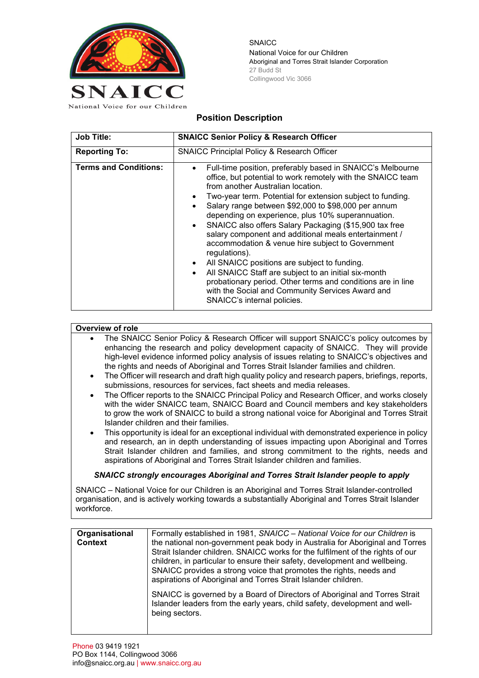

**SNAICC** National Voice for our Children Aboriginal and Torres Strait Islander Corporation 27 Budd St Collingwood Vic 3066

## **Position Description**

| <b>Job Title:</b>            | <b>SNAICC Senior Policy &amp; Research Officer</b>                                                                                                                                                                                                                                                                                                                                                                                                                                                                                                                                                                                                                                                                                                                                                                                                                       |
|------------------------------|--------------------------------------------------------------------------------------------------------------------------------------------------------------------------------------------------------------------------------------------------------------------------------------------------------------------------------------------------------------------------------------------------------------------------------------------------------------------------------------------------------------------------------------------------------------------------------------------------------------------------------------------------------------------------------------------------------------------------------------------------------------------------------------------------------------------------------------------------------------------------|
| <b>Reporting To:</b>         | <b>SNAICC Principlal Policy &amp; Research Officer</b>                                                                                                                                                                                                                                                                                                                                                                                                                                                                                                                                                                                                                                                                                                                                                                                                                   |
| <b>Terms and Conditions:</b> | Full-time position, preferably based in SNAICC's Melbourne<br>$\bullet$<br>office, but potential to work remotely with the SNAICC team<br>from another Australian location.<br>Two-year term. Potential for extension subject to funding.<br>$\bullet$<br>Salary range between \$92,000 to \$98,000 per annum<br>$\bullet$<br>depending on experience, plus 10% superannuation.<br>SNAICC also offers Salary Packaging (\$15,900 tax free<br>$\bullet$<br>salary component and additional meals entertainment /<br>accommodation & venue hire subject to Government<br>regulations).<br>All SNAICC positions are subject to funding.<br>$\bullet$<br>All SNAICC Staff are subject to an initial six-month<br>$\bullet$<br>probationary period. Other terms and conditions are in line<br>with the Social and Community Services Award and<br>SNAICC's internal policies. |

## **Overview of role**

- The SNAICC Senior Policy & Research Officer will support SNAICC's policy outcomes by enhancing the research and policy development capacity of SNAICC. They will provide high-level evidence informed policy analysis of issues relating to SNAICC's objectives and the rights and needs of Aboriginal and Torres Strait Islander families and children.
- The Officer will research and draft high quality policy and research papers, briefings, reports, submissions, resources for services, fact sheets and media releases.
- The Officer reports to the SNAICC Principal Policy and Research Officer, and works closely with the wider SNAICC team, SNAICC Board and Council members and key stakeholders to grow the work of SNAICC to build a strong national voice for Aboriginal and Torres Strait Islander children and their families.
- This opportunity is ideal for an exceptional individual with demonstrated experience in policy and research, an in depth understanding of issues impacting upon Aboriginal and Torres Strait Islander children and families, and strong commitment to the rights, needs and aspirations of Aboriginal and Torres Strait Islander children and families.

## *SNAICC strongly encourages Aboriginal and Torres Strait Islander people to apply*

SNAICC – National Voice for our Children is an Aboriginal and Torres Strait Islander-controlled organisation, and is actively working towards a substantially Aboriginal and Torres Strait Islander workforce.

| Organisational<br><b>Context</b> | Formally established in 1981, SNAICC - National Voice for our Children is<br>the national non-government peak body in Australia for Aboriginal and Torres<br>Strait Islander children. SNAICC works for the fulfilment of the rights of our<br>children, in particular to ensure their safety, development and wellbeing.<br>SNAICC provides a strong voice that promotes the rights, needs and<br>aspirations of Aboriginal and Torres Strait Islander children. |
|----------------------------------|-------------------------------------------------------------------------------------------------------------------------------------------------------------------------------------------------------------------------------------------------------------------------------------------------------------------------------------------------------------------------------------------------------------------------------------------------------------------|
|                                  | SNAICC is governed by a Board of Directors of Aboriginal and Torres Strait<br>Islander leaders from the early years, child safety, development and well-<br>being sectors.                                                                                                                                                                                                                                                                                        |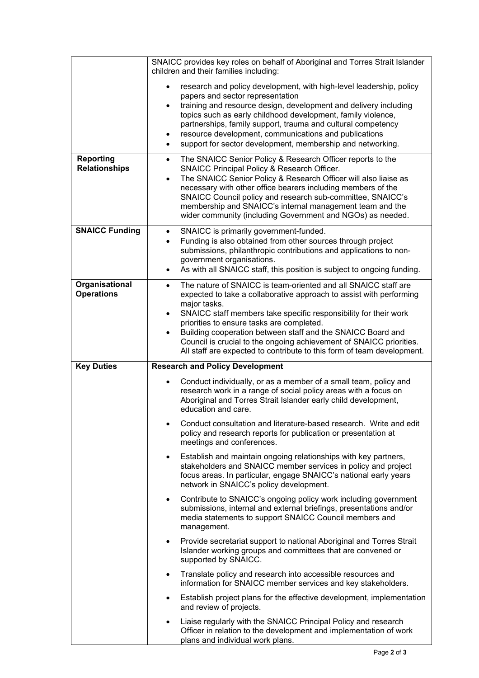|                                          | SNAICC provides key roles on behalf of Aboriginal and Torres Strait Islander<br>children and their families including:                                                                                                                                                                                                                                                                                                                                                                                                        |
|------------------------------------------|-------------------------------------------------------------------------------------------------------------------------------------------------------------------------------------------------------------------------------------------------------------------------------------------------------------------------------------------------------------------------------------------------------------------------------------------------------------------------------------------------------------------------------|
|                                          | research and policy development, with high-level leadership, policy<br>$\bullet$<br>papers and sector representation<br>training and resource design, development and delivery including<br>$\bullet$<br>topics such as early childhood development, family violence,<br>partnerships, family support, trauma and cultural competency<br>resource development, communications and publications<br>٠<br>support for sector development, membership and networking.<br>$\bullet$                                                |
| <b>Reporting</b><br><b>Relationships</b> | The SNAICC Senior Policy & Research Officer reports to the<br>$\bullet$<br>SNAICC Principal Policy & Research Officer.<br>The SNAICC Senior Policy & Research Officer will also liaise as<br>$\bullet$<br>necessary with other office bearers including members of the<br>SNAICC Council policy and research sub-committee, SNAICC's<br>membership and SNAICC's internal management team and the<br>wider community (including Government and NGOs) as needed.                                                                |
| <b>SNAICC Funding</b>                    | SNAICC is primarily government-funded.<br>$\bullet$<br>Funding is also obtained from other sources through project<br>$\bullet$<br>submissions, philanthropic contributions and applications to non-<br>government organisations.<br>As with all SNAICC staff, this position is subject to ongoing funding.<br>$\bullet$                                                                                                                                                                                                      |
| Organisational<br><b>Operations</b>      | The nature of SNAICC is team-oriented and all SNAICC staff are<br>$\bullet$<br>expected to take a collaborative approach to assist with performing<br>major tasks.<br>SNAICC staff members take specific responsibility for their work<br>$\bullet$<br>priorities to ensure tasks are completed.<br>Building cooperation between staff and the SNAICC Board and<br>$\bullet$<br>Council is crucial to the ongoing achievement of SNAICC priorities.<br>All staff are expected to contribute to this form of team development. |
| <b>Key Duties</b>                        | <b>Research and Policy Development</b>                                                                                                                                                                                                                                                                                                                                                                                                                                                                                        |
|                                          | Conduct individually, or as a member of a small team, policy and<br>$\bullet$<br>research work in a range of social policy areas with a focus on<br>Aboriginal and Torres Strait Islander early child development,<br>education and care.                                                                                                                                                                                                                                                                                     |
|                                          | Conduct consultation and literature-based research. Write and edit<br>policy and research reports for publication or presentation at<br>meetings and conferences.                                                                                                                                                                                                                                                                                                                                                             |
|                                          | Establish and maintain ongoing relationships with key partners,<br>٠<br>stakeholders and SNAICC member services in policy and project<br>focus areas. In particular, engage SNAICC's national early years<br>network in SNAICC's policy development.                                                                                                                                                                                                                                                                          |
|                                          | Contribute to SNAICC's ongoing policy work including government<br>$\bullet$<br>submissions, internal and external briefings, presentations and/or<br>media statements to support SNAICC Council members and<br>management.                                                                                                                                                                                                                                                                                                   |
|                                          | Provide secretariat support to national Aboriginal and Torres Strait<br>$\bullet$<br>Islander working groups and committees that are convened or<br>supported by SNAICC.                                                                                                                                                                                                                                                                                                                                                      |
|                                          | Translate policy and research into accessible resources and<br>٠<br>information for SNAICC member services and key stakeholders.                                                                                                                                                                                                                                                                                                                                                                                              |
|                                          | Establish project plans for the effective development, implementation<br>$\bullet$<br>and review of projects.                                                                                                                                                                                                                                                                                                                                                                                                                 |
|                                          | Liaise regularly with the SNAICC Principal Policy and research<br>٠<br>Officer in relation to the development and implementation of work<br>plans and individual work plans.                                                                                                                                                                                                                                                                                                                                                  |